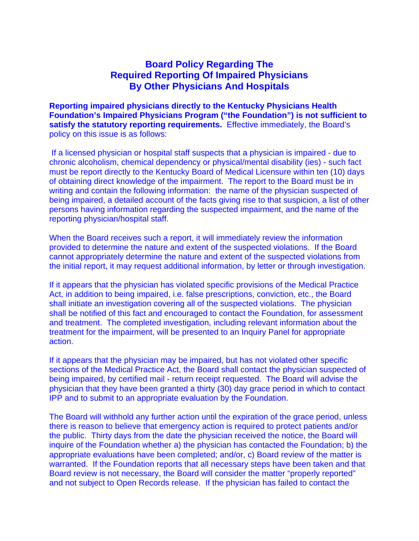## **Board Policy Regarding The Required Reporting Of Impaired Physicians By Other Physicians And Hospitals**

**Reporting impaired physicians directly to the Kentucky Physicians Health Foundation's Impaired Physicians Program ("the Foundation") is not sufficient to satisfy the statutory reporting requirements.** Effective immediately, the Board's policy on this issue is as follows:

 If a licensed physician or hospital staff suspects that a physician is impaired - due to chronic alcoholism, chemical dependency or physical/mental disability (ies) - such fact must be report directly to the Kentucky Board of Medical Licensure within ten (10) days of obtaining direct knowledge of the impairment. The report to the Board must be in writing and contain the following information: the name of the physician suspected of being impaired, a detailed account of the facts giving rise to that suspicion, a list of other persons having information regarding the suspected impairment, and the name of the reporting physician/hospital staff.

When the Board receives such a report, it will immediately review the information provided to determine the nature and extent of the suspected violations. If the Board cannot appropriately determine the nature and extent of the suspected violations from the initial report, it may request additional information, by letter or through investigation.

If it appears that the physician has violated specific provisions of the Medical Practice Act, in addition to being impaired, i.e. false prescriptions, conviction, etc., the Board shall initiate an investigation covering all of the suspected violations. The physician shall be notified of this fact and encouraged to contact the Foundation, for assessment and treatment. The completed investigation, including relevant information about the treatment for the impairment, will be presented to an Inquiry Panel for appropriate action.

If it appears that the physician may be impaired, but has not violated other specific sections of the Medical Practice Act, the Board shall contact the physician suspected of being impaired, by certified mail - return receipt requested. The Board will advise the physician that they have been granted a thirty (30) day grace period in which to contact IPP and to submit to an appropriate evaluation by the Foundation.

The Board will withhold any further action until the expiration of the grace period, unless there is reason to believe that emergency action is required to protect patients and/or the public. Thirty days from the date the physician received the notice, the Board will inquire of the Foundation whether a) the physician has contacted the Foundation; b) the appropriate evaluations have been completed; and/or, c) Board review of the matter is warranted. If the Foundation reports that all necessary steps have been taken and that Board review is not necessary, the Board will consider the matter "properly reported" and not subject to Open Records release. If the physician has failed to contact the